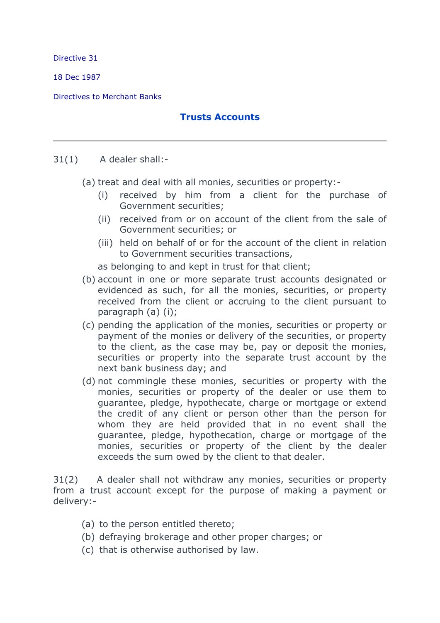Directive 31

18 Dec 1987

Directives to Merchant Banks

## **Trusts Accounts**

## 31(1) A dealer shall:-

(a) treat and deal with all monies, securities or property:-

- (i) received by him from a client for the purchase of Government securities;
- (ii) received from or on account of the client from the sale of Government securities; or
- (iii) held on behalf of or for the account of the client in relation to Government securities transactions,

as belonging to and kept in trust for that client;

- (b) account in one or more separate trust accounts designated or evidenced as such, for all the monies, securities, or property received from the client or accruing to the client pursuant to paragraph (a) (i);
- (c) pending the application of the monies, securities or property or payment of the monies or delivery of the securities, or property to the client, as the case may be, pay or deposit the monies, securities or property into the separate trust account by the next bank business day; and
- (d) not commingle these monies, securities or property with the monies, securities or property of the dealer or use them to guarantee, pledge, hypothecate, charge or mortgage or extend the credit of any client or person other than the person for whom they are held provided that in no event shall the guarantee, pledge, hypothecation, charge or mortgage of the monies, securities or property of the client by the dealer exceeds the sum owed by the client to that dealer.

31(2) A dealer shall not withdraw any monies, securities or property from a trust account except for the purpose of making a payment or delivery:-

- (a) to the person entitled thereto;
- (b) defraying brokerage and other proper charges; or
- (c) that is otherwise authorised by law.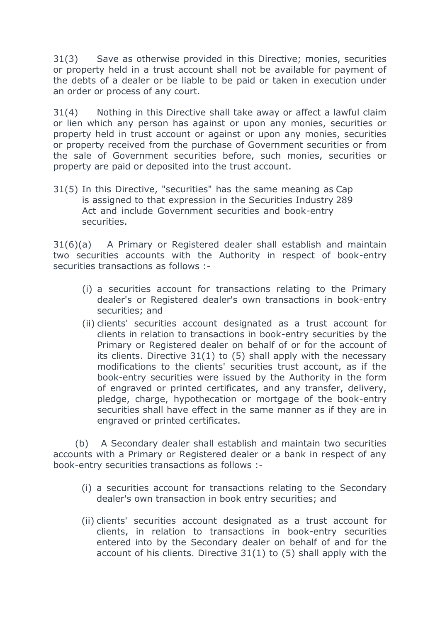31(3) Save as otherwise provided in this Directive; monies, securities or property held in a trust account shall not be available for payment of the debts of a dealer or be liable to be paid or taken in execution under an order or process of any court.

31(4) Nothing in this Directive shall take away or affect a lawful claim or lien which any person has against or upon any monies, securities or property held in trust account or against or upon any monies, securities or property received from the purchase of Government securities or from the sale of Government securities before, such monies, securities or property are paid or deposited into the trust account.

31(5) In this Directive, "securities" has the same meaning as Cap is assigned to that expression in the Securities Industry 289 Act and include Government securities and book-entry securities.

31(6)(a) A Primary or Registered dealer shall establish and maintain two securities accounts with the Authority in respect of book-entry securities transactions as follows :-

- (i) a securities account for transactions relating to the Primary dealer's or Registered dealer's own transactions in book-entry securities; and
- (ii) clients' securities account designated as a trust account for clients in relation to transactions in book-entry securities by the Primary or Registered dealer on behalf of or for the account of its clients. Directive 31(1) to (5) shall apply with the necessary modifications to the clients' securities trust account, as if the book-entry securities were issued by the Authority in the form of engraved or printed certificates, and any transfer, delivery, pledge, charge, hypothecation or mortgage of the book-entry securities shall have effect in the same manner as if they are in engraved or printed certificates.

(b) A Secondary dealer shall establish and maintain two securities accounts with a Primary or Registered dealer or a bank in respect of any book-entry securities transactions as follows :-

- (i) a securities account for transactions relating to the Secondary dealer's own transaction in book entry securities; and
- (ii) clients' securities account designated as a trust account for clients, in relation to transactions in book-entry securities entered into by the Secondary dealer on behalf of and for the account of his clients. Directive 31(1) to (5) shall apply with the